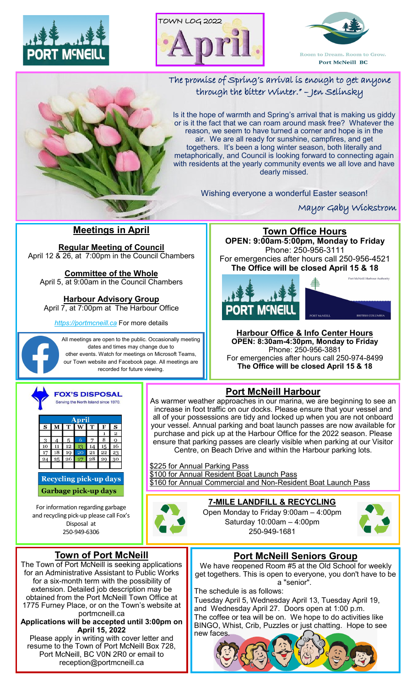





# The promise of Spring's arrival is enough to get anyone through the bitter Winter." – Jen Selinsky

Is it the hope of warmth and Spring's arrival that is making us giddy or is it the fact that we can roam around mask free? Whatever the reason, we seem to have turned a corner and hope is in the air. We are all ready for sunshine, campfires, and get togethers. It's been a long winter season, both literally and metaphorically, and Council is looking forward to connecting again with residents at the yearly community events we all love and have dearly missed.

Wishing everyone a wonderful Easter season!

Mayor Gaby Wickstrom

## **Meetings in April**

**Regular Meeting of Council** April 12 & 26, at 7:00pm in the Council Chambers

## **Committee of the Whole**

April 5, at 9:00am in the Council Chambers

**Harbour Advisory Group**

April 7, at 7:00pm at The Harbour Office

*https://portmcneill.ca* For more details

All meetings are open to the public. Occasionally meeting dates and times may change due to other events. Watch for meetings on Microsoft Teams, our Town website and Facebook page. All meetings are recorded for future viewing.







**Harbour Office & Info Center Hours OPEN: 8:30am-4:30pm, Monday to Friday** Phone: 250-956-3881 For emergencies after hours call 250-974-8499 **The Office will be closed April 15 & 18**



| wil      |  |  |  |   |  |  |  |  |
|----------|--|--|--|---|--|--|--|--|
| $\bf{s}$ |  |  |  | s |  |  |  |  |
|          |  |  |  |   |  |  |  |  |
|          |  |  |  |   |  |  |  |  |
|          |  |  |  |   |  |  |  |  |
|          |  |  |  |   |  |  |  |  |
|          |  |  |  |   |  |  |  |  |
|          |  |  |  |   |  |  |  |  |
|          |  |  |  |   |  |  |  |  |

**Recycling pick-up days** Garbage pick-up days

For information regarding garbage and recycling pick-up please call Fox's Disposal at 250-949-6306

# **Port McNeill Harbour**

As warmer weather approaches in our marina, we are beginning to see an increase in foot traffic on our docks. Please ensure that your vessel and all of your possessions are tidy and locked up when you are not onboard your vessel. Annual parking and boat launch passes are now available for purchase and pick up at the Harbour Office for the 2022 season. Please ensure that parking passes are clearly visible when parking at our Visitor Centre, on Beach Drive and within the Harbour parking lots.

\$225 for Annual Parking Pass \$100 for Annual Resident Boat Launch Pass \$160 for Annual Commercial and Non-Resident Boat Launch Pass



# **7-MILE LANDFILL & RECYCLING**

Open Monday to Friday 9:00am – 4:00pm Saturday 10:00am – 4:00pm 250-949-1681



#### **Town of Port McNeill**

The Town of Port McNeill is seeking applications for an Administrative Assistant to Public Works for a six-month term with the possibility of extension. Detailed job description may be obtained from the Port McNeill Town Office at 1775 Furney Place, or on the Town's website at portmcneill.ca

**Applications will be accepted until 3:00pm on April 15, 2022**

Please apply in writing with cover letter and resume to the Town of Port McNeill Box 728, Port McNeill, BC V0N 2R0 or email to reception@portmcneill.ca

# **Port McNeill Seniors Group**

We have reopened Room #5 at the Old School for weekly get togethers. This is open to everyone, you don't have to be a "senior".

The schedule is as follows:

Tuesday April 5, Wednesday April 13, Tuesday April 19, and Wednesday April 27. Doors open at 1:00 p.m. The coffee or tea will be on. We hope to do activities like BINGO, Whist, Crib, Puzzles or just chatting. Hope to see new faces.